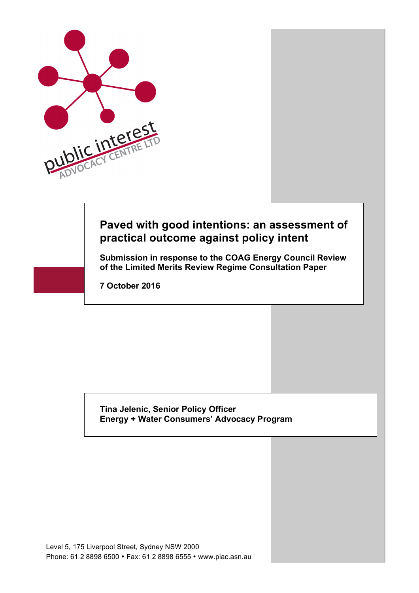

# **Paved with good intentions: an assessment of practical outcome against policy intent**

**Submission in response to the COAG Energy Council Review of the Limited Merits Review Regime Consultation Paper** 

**7 October 2016**

#### **Tina Jelenic, Senior Policy Officer Energy + Water Consumers' Advocacy Program**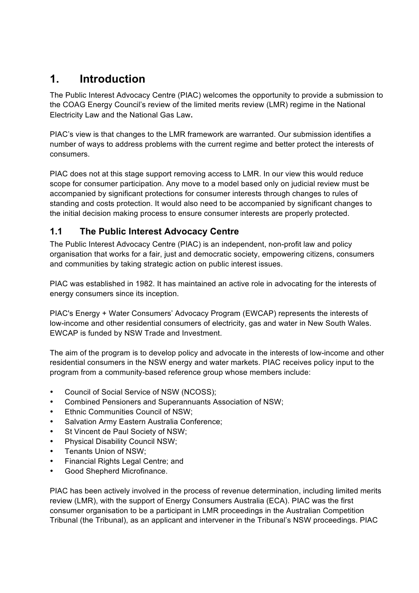# **1. Introduction**

The Public Interest Advocacy Centre (PIAC) welcomes the opportunity to provide a submission to the COAG Energy Council's review of the limited merits review (LMR) regime in the National Electricity Law and the National Gas Law**.**

PIAC's view is that changes to the LMR framework are warranted. Our submission identifies a number of ways to address problems with the current regime and better protect the interests of consumers.

PIAC does not at this stage support removing access to LMR. In our view this would reduce scope for consumer participation. Any move to a model based only on judicial review must be accompanied by significant protections for consumer interests through changes to rules of standing and costs protection. It would also need to be accompanied by significant changes to the initial decision making process to ensure consumer interests are properly protected.

# **1.1 The Public Interest Advocacy Centre**

The Public Interest Advocacy Centre (PIAC) is an independent, non-profit law and policy organisation that works for a fair, just and democratic society, empowering citizens, consumers and communities by taking strategic action on public interest issues.

PIAC was established in 1982. It has maintained an active role in advocating for the interests of energy consumers since its inception.

PIAC's Energy + Water Consumers' Advocacy Program (EWCAP) represents the interests of low-income and other residential consumers of electricity, gas and water in New South Wales. EWCAP is funded by NSW Trade and Investment.

The aim of the program is to develop policy and advocate in the interests of low-income and other residential consumers in the NSW energy and water markets. PIAC receives policy input to the program from a community-based reference group whose members include:

- Council of Social Service of NSW (NCOSS);
- Combined Pensioners and Superannuants Association of NSW;
- Ethnic Communities Council of NSW;
- Salvation Army Eastern Australia Conference;
- St Vincent de Paul Society of NSW:
- Physical Disability Council NSW;
- Tenants Union of NSW;
- Financial Rights Legal Centre; and
- Good Shepherd Microfinance.

PIAC has been actively involved in the process of revenue determination, including limited merits review (LMR), with the support of Energy Consumers Australia (ECA). PIAC was the first consumer organisation to be a participant in LMR proceedings in the Australian Competition Tribunal (the Tribunal), as an applicant and intervener in the Tribunal's NSW proceedings. PIAC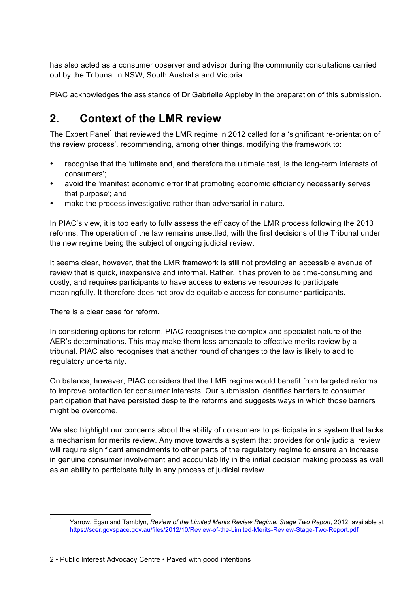has also acted as a consumer observer and advisor during the community consultations carried out by the Tribunal in NSW, South Australia and Victoria.

PIAC acknowledges the assistance of Dr Gabrielle Appleby in the preparation of this submission.

# **2. Context of the LMR review**

The Expert Panel<sup>1</sup> that reviewed the LMR regime in 2012 called for a 'significant re-orientation of the review process', recommending, among other things, modifying the framework to:

- recognise that the 'ultimate end, and therefore the ultimate test, is the long-term interests of consumers';
- avoid the 'manifest economic error that promoting economic efficiency necessarily serves that purpose'; and
- make the process investigative rather than adversarial in nature.

In PIAC's view, it is too early to fully assess the efficacy of the LMR process following the 2013 reforms. The operation of the law remains unsettled, with the first decisions of the Tribunal under the new regime being the subject of ongoing judicial review.

It seems clear, however, that the LMR framework is still not providing an accessible avenue of review that is quick, inexpensive and informal. Rather, it has proven to be time-consuming and costly, and requires participants to have access to extensive resources to participate meaningfully. It therefore does not provide equitable access for consumer participants.

There is a clear case for reform.

In considering options for reform, PIAC recognises the complex and specialist nature of the AER's determinations. This may make them less amenable to effective merits review by a tribunal. PIAC also recognises that another round of changes to the law is likely to add to regulatory uncertainty.

On balance, however, PIAC considers that the LMR regime would benefit from targeted reforms to improve protection for consumer interests. Our submission identifies barriers to consumer participation that have persisted despite the reforms and suggests ways in which those barriers might be overcome.

We also highlight our concerns about the ability of consumers to participate in a system that lacks a mechanism for merits review. Any move towards a system that provides for only judicial review will require significant amendments to other parts of the regulatory regime to ensure an increase in genuine consumer involvement and accountability in the initial decision making process as well as an ability to participate fully in any process of judicial review.

2 • Public Interest Advocacy Centre • Paved with good intentions

 <sup>1</sup> Yarrow, Egan and Tamblyn, *Review of the Limited Merits Review Regime: Stage Two Report,* 2012, available at https://scer.govspace.gov.au/files/2012/10/Review-of-the-Limited-Merits-Review-Stage-Two-Report.pdf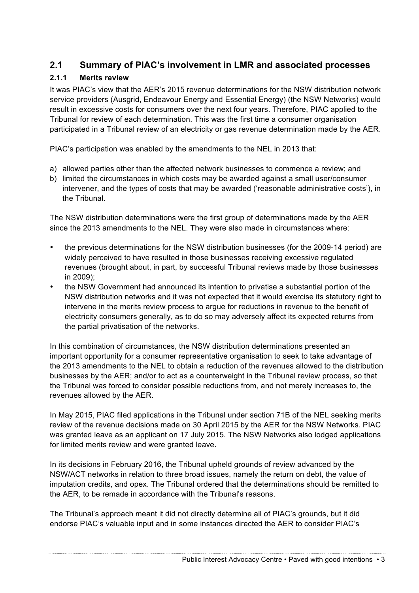# **2.1 Summary of PIAC's involvement in LMR and associated processes**

#### **2.1.1 Merits review**

It was PIAC's view that the AER's 2015 revenue determinations for the NSW distribution network service providers (Ausgrid, Endeavour Energy and Essential Energy) (the NSW Networks) would result in excessive costs for consumers over the next four years. Therefore, PIAC applied to the Tribunal for review of each determination. This was the first time a consumer organisation participated in a Tribunal review of an electricity or gas revenue determination made by the AER.

PIAC's participation was enabled by the amendments to the NEL in 2013 that:

- a) allowed parties other than the affected network businesses to commence a review; and
- b) limited the circumstances in which costs may be awarded against a small user/consumer intervener, and the types of costs that may be awarded ('reasonable administrative costs'), in the Tribunal.

The NSW distribution determinations were the first group of determinations made by the AER since the 2013 amendments to the NEL. They were also made in circumstances where:

- the previous determinations for the NSW distribution businesses (for the 2009-14 period) are widely perceived to have resulted in those businesses receiving excessive regulated revenues (brought about, in part, by successful Tribunal reviews made by those businesses in 2009);
- the NSW Government had announced its intention to privatise a substantial portion of the NSW distribution networks and it was not expected that it would exercise its statutory right to intervene in the merits review process to argue for reductions in revenue to the benefit of electricity consumers generally, as to do so may adversely affect its expected returns from the partial privatisation of the networks.

In this combination of circumstances, the NSW distribution determinations presented an important opportunity for a consumer representative organisation to seek to take advantage of the 2013 amendments to the NEL to obtain a reduction of the revenues allowed to the distribution businesses by the AER; and/or to act as a counterweight in the Tribunal review process, so that the Tribunal was forced to consider possible reductions from, and not merely increases to, the revenues allowed by the AER.

In May 2015, PIAC filed applications in the Tribunal under section 71B of the NEL seeking merits review of the revenue decisions made on 30 April 2015 by the AER for the NSW Networks. PIAC was granted leave as an applicant on 17 July 2015. The NSW Networks also lodged applications for limited merits review and were granted leave.

In its decisions in February 2016, the Tribunal upheld grounds of review advanced by the NSW/ACT networks in relation to three broad issues, namely the return on debt, the value of imputation credits, and opex. The Tribunal ordered that the determinations should be remitted to the AER, to be remade in accordance with the Tribunal's reasons.

The Tribunal's approach meant it did not directly determine all of PIAC's grounds, but it did endorse PIAC's valuable input and in some instances directed the AER to consider PIAC's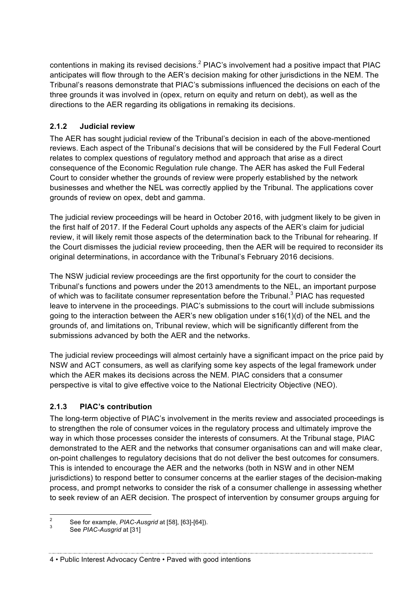contentions in making its revised decisions.<sup>2</sup> PIAC's involvement had a positive impact that PIAC anticipates will flow through to the AER's decision making for other jurisdictions in the NEM. The Tribunal's reasons demonstrate that PIAC's submissions influenced the decisions on each of the three grounds it was involved in (opex, return on equity and return on debt), as well as the directions to the AER regarding its obligations in remaking its decisions.

#### **2.1.2 Judicial review**

The AER has sought judicial review of the Tribunal's decision in each of the above-mentioned reviews. Each aspect of the Tribunal's decisions that will be considered by the Full Federal Court relates to complex questions of regulatory method and approach that arise as a direct consequence of the Economic Regulation rule change. The AER has asked the Full Federal Court to consider whether the grounds of review were properly established by the network businesses and whether the NEL was correctly applied by the Tribunal. The applications cover grounds of review on opex, debt and gamma.

The judicial review proceedings will be heard in October 2016, with judgment likely to be given in the first half of 2017. If the Federal Court upholds any aspects of the AER's claim for judicial review, it will likely remit those aspects of the determination back to the Tribunal for rehearing. If the Court dismisses the judicial review proceeding, then the AER will be required to reconsider its original determinations, in accordance with the Tribunal's February 2016 decisions.

The NSW judicial review proceedings are the first opportunity for the court to consider the Tribunal's functions and powers under the 2013 amendments to the NEL, an important purpose of which was to facilitate consumer representation before the Tribunal.<sup>3</sup> PIAC has requested leave to intervene in the proceedings. PIAC's submissions to the court will include submissions going to the interaction between the AER's new obligation under s16(1)(d) of the NEL and the grounds of, and limitations on, Tribunal review, which will be significantly different from the submissions advanced by both the AER and the networks.

The judicial review proceedings will almost certainly have a significant impact on the price paid by NSW and ACT consumers, as well as clarifying some key aspects of the legal framework under which the AER makes its decisions across the NEM. PIAC considers that a consumer perspective is vital to give effective voice to the National Electricity Objective (NEO).

### **2.1.3 PIAC's contribution**

The long-term objective of PIAC's involvement in the merits review and associated proceedings is to strengthen the role of consumer voices in the regulatory process and ultimately improve the way in which those processes consider the interests of consumers. At the Tribunal stage, PIAC demonstrated to the AER and the networks that consumer organisations can and will make clear, on-point challenges to regulatory decisions that do not deliver the best outcomes for consumers. This is intended to encourage the AER and the networks (both in NSW and in other NEM jurisdictions) to respond better to consumer concerns at the earlier stages of the decision-making process, and prompt networks to consider the risk of a consumer challenge in assessing whether to seek review of an AER decision. The prospect of intervention by consumer groups arguing for

<sup>2</sup> See for example, *PIAC-Ausgrid* at [58], [63]-[64]). <sup>3</sup> See *PIAC-Ausgrid* at [31]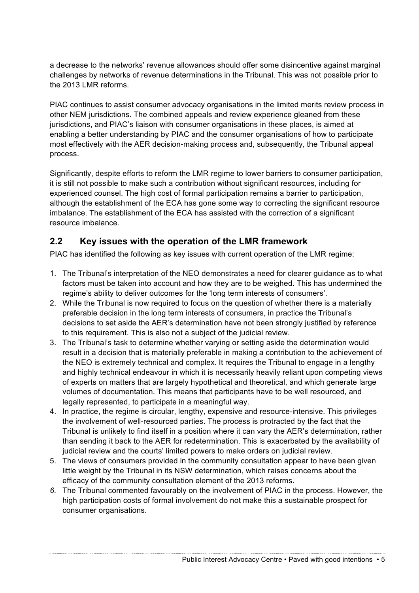a decrease to the networks' revenue allowances should offer some disincentive against marginal challenges by networks of revenue determinations in the Tribunal. This was not possible prior to the 2013 LMR reforms.

PIAC continues to assist consumer advocacy organisations in the limited merits review process in other NEM jurisdictions. The combined appeals and review experience gleaned from these jurisdictions, and PIAC's liaison with consumer organisations in these places, is aimed at enabling a better understanding by PIAC and the consumer organisations of how to participate most effectively with the AER decision-making process and, subsequently, the Tribunal appeal process.

Significantly, despite efforts to reform the LMR regime to lower barriers to consumer participation, it is still not possible to make such a contribution without significant resources, including for experienced counsel. The high cost of formal participation remains a barrier to participation, although the establishment of the ECA has gone some way to correcting the significant resource imbalance. The establishment of the ECA has assisted with the correction of a significant resource imbalance.

# **2.2 Key issues with the operation of the LMR framework**

PIAC has identified the following as key issues with current operation of the LMR regime:

- 1. The Tribunal's interpretation of the NEO demonstrates a need for clearer guidance as to what factors must be taken into account and how they are to be weighed. This has undermined the regime's ability to deliver outcomes for the 'long term interests of consumers'.
- 2. While the Tribunal is now required to focus on the question of whether there is a materially preferable decision in the long term interests of consumers, in practice the Tribunal's decisions to set aside the AER's determination have not been strongly justified by reference to this requirement. This is also not a subject of the judicial review.
- 3. The Tribunal's task to determine whether varying or setting aside the determination would result in a decision that is materially preferable in making a contribution to the achievement of the NEO is extremely technical and complex. It requires the Tribunal to engage in a lengthy and highly technical endeavour in which it is necessarily heavily reliant upon competing views of experts on matters that are largely hypothetical and theoretical, and which generate large volumes of documentation. This means that participants have to be well resourced, and legally represented, to participate in a meaningful way.
- 4. In practice, the regime is circular, lengthy, expensive and resource-intensive. This privileges the involvement of well-resourced parties. The process is protracted by the fact that the Tribunal is unlikely to find itself in a position where it can vary the AER's determination, rather than sending it back to the AER for redetermination. This is exacerbated by the availability of judicial review and the courts' limited powers to make orders on judicial review.
- 5. The views of consumers provided in the community consultation appear to have been given little weight by the Tribunal in its NSW determination, which raises concerns about the efficacy of the community consultation element of the 2013 reforms.
- *6.* The Tribunal commented favourably on the involvement of PIAC in the process. However, the high participation costs of formal involvement do not make this a sustainable prospect for consumer organisations.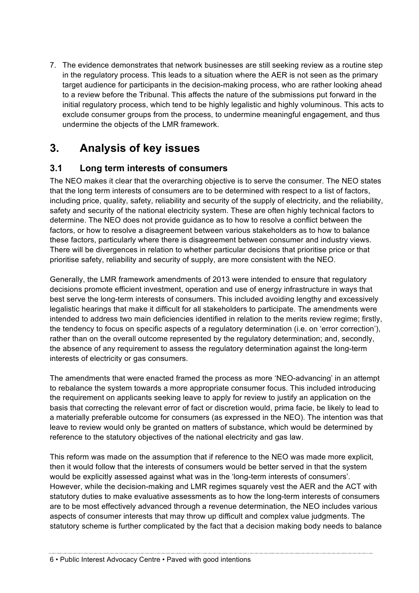7. The evidence demonstrates that network businesses are still seeking review as a routine step in the regulatory process. This leads to a situation where the AER is not seen as the primary target audience for participants in the decision-making process, who are rather looking ahead to a review before the Tribunal. This affects the nature of the submissions put forward in the initial regulatory process, which tend to be highly legalistic and highly voluminous. This acts to exclude consumer groups from the process, to undermine meaningful engagement, and thus undermine the objects of the LMR framework.

# **3. Analysis of key issues**

### **3.1 Long term interests of consumers**

The NEO makes it clear that the overarching objective is to serve the consumer. The NEO states that the long term interests of consumers are to be determined with respect to a list of factors, including price, quality, safety, reliability and security of the supply of electricity, and the reliability, safety and security of the national electricity system. These are often highly technical factors to determine. The NEO does not provide guidance as to how to resolve a conflict between the factors, or how to resolve a disagreement between various stakeholders as to how to balance these factors, particularly where there is disagreement between consumer and industry views. There will be divergences in relation to whether particular decisions that prioritise price or that prioritise safety, reliability and security of supply, are more consistent with the NEO.

Generally, the LMR framework amendments of 2013 were intended to ensure that regulatory decisions promote efficient investment, operation and use of energy infrastructure in ways that best serve the long-term interests of consumers. This included avoiding lengthy and excessively legalistic hearings that make it difficult for all stakeholders to participate. The amendments were intended to address two main deficiencies identified in relation to the merits review regime; firstly, the tendency to focus on specific aspects of a regulatory determination (i.e. on 'error correction'), rather than on the overall outcome represented by the regulatory determination; and, secondly, the absence of any requirement to assess the regulatory determination against the long-term interests of electricity or gas consumers.

The amendments that were enacted framed the process as more 'NEO-advancing' in an attempt to rebalance the system towards a more appropriate consumer focus. This included introducing the requirement on applicants seeking leave to apply for review to justify an application on the basis that correcting the relevant error of fact or discretion would, prima facie, be likely to lead to a materially preferable outcome for consumers (as expressed in the NEO). The intention was that leave to review would only be granted on matters of substance, which would be determined by reference to the statutory objectives of the national electricity and gas law.

This reform was made on the assumption that if reference to the NEO was made more explicit, then it would follow that the interests of consumers would be better served in that the system would be explicitly assessed against what was in the 'long-term interests of consumers'. However, while the decision-making and LMR regimes squarely vest the AER and the ACT with statutory duties to make evaluative assessments as to how the long-term interests of consumers are to be most effectively advanced through a revenue determination, the NEO includes various aspects of consumer interests that may throw up difficult and complex value judgments. The statutory scheme is further complicated by the fact that a decision making body needs to balance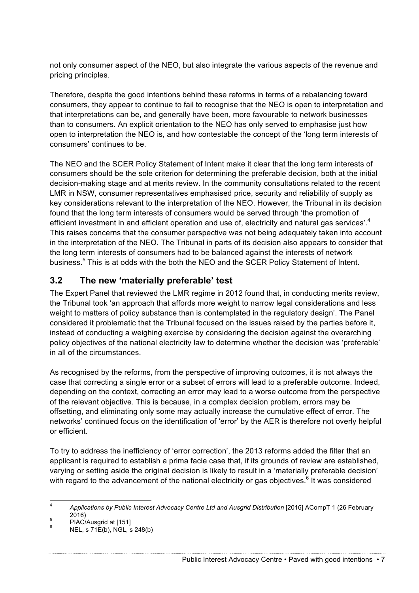not only consumer aspect of the NEO, but also integrate the various aspects of the revenue and pricing principles.

Therefore, despite the good intentions behind these reforms in terms of a rebalancing toward consumers, they appear to continue to fail to recognise that the NEO is open to interpretation and that interpretations can be, and generally have been, more favourable to network businesses than to consumers. An explicit orientation to the NEO has only served to emphasise just how open to interpretation the NEO is, and how contestable the concept of the 'long term interests of consumers' continues to be.

The NEO and the SCER Policy Statement of Intent make it clear that the long term interests of consumers should be the sole criterion for determining the preferable decision, both at the initial decision-making stage and at merits review. In the community consultations related to the recent LMR in NSW, consumer representatives emphasised price, security and reliability of supply as key considerations relevant to the interpretation of the NEO. However, the Tribunal in its decision found that the long term interests of consumers would be served through 'the promotion of efficient investment in and efficient operation and use of, electricity and natural gas services'.<sup>4</sup> This raises concerns that the consumer perspective was not being adequately taken into account in the interpretation of the NEO. The Tribunal in parts of its decision also appears to consider that the long term interests of consumers had to be balanced against the interests of network business.<sup>5</sup> This is at odds with the both the NEO and the SCER Policy Statement of Intent.

### **3.2 The new 'materially preferable' test**

The Expert Panel that reviewed the LMR regime in 2012 found that, in conducting merits review, the Tribunal took 'an approach that affords more weight to narrow legal considerations and less weight to matters of policy substance than is contemplated in the regulatory design'. The Panel considered it problematic that the Tribunal focused on the issues raised by the parties before it, instead of conducting a weighing exercise by considering the decision against the overarching policy objectives of the national electricity law to determine whether the decision was 'preferable' in all of the circumstances.

As recognised by the reforms, from the perspective of improving outcomes, it is not always the case that correcting a single error or a subset of errors will lead to a preferable outcome. Indeed, depending on the context, correcting an error may lead to a worse outcome from the perspective of the relevant objective. This is because, in a complex decision problem, errors may be offsetting, and eliminating only some may actually increase the cumulative effect of error. The networks' continued focus on the identification of 'error' by the AER is therefore not overly helpful or efficient.

To try to address the inefficiency of 'error correction', the 2013 reforms added the filter that an applicant is required to establish a prima facie case that, if its grounds of review are established, varying or setting aside the original decision is likely to result in a 'materially preferable decision' with regard to the advancement of the national electricity or gas objectives.<sup>6</sup> It was considered

Public Interest Advocacy Centre • Paved with good intentions • 7

 <sup>4</sup> *Applications by Public Interest Advocacy Centre Ltd and Ausgrid Distribution* [2016] ACompT 1 (26 February  $^{5}$  2016)<br>
PIAC/Ausgrid at [151]<br>
<sup>6</sup> NEL, s 71E(b), NGL, s 248(b)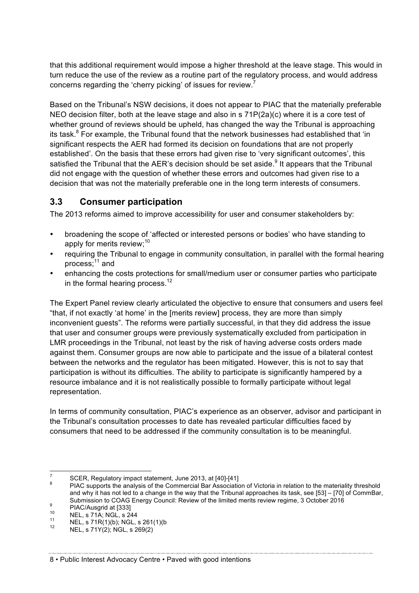that this additional requirement would impose a higher threshold at the leave stage. This would in turn reduce the use of the review as a routine part of the regulatory process, and would address concerns regarding the 'cherry picking' of issues for review.<sup>7</sup>

Based on the Tribunal's NSW decisions, it does not appear to PIAC that the materially preferable NEO decision filter, both at the leave stage and also in s 71P(2a)(c) where it is a core test of whether ground of reviews should be upheld, has changed the way the Tribunal is approaching its task. $8$  For example, the Tribunal found that the network businesses had established that 'in significant respects the AER had formed its decision on foundations that are not properly established'. On the basis that these errors had given rise to 'very significant outcomes', this satisfied the Tribunal that the AER's decision should be set aside.<sup>9</sup> It appears that the Tribunal did not engage with the question of whether these errors and outcomes had given rise to a decision that was not the materially preferable one in the long term interests of consumers.

### **3.3 Consumer participation**

The 2013 reforms aimed to improve accessibility for user and consumer stakeholders by:

- broadening the scope of 'affected or interested persons or bodies' who have standing to apply for merits review;<sup>10</sup>
- requiring the Tribunal to engage in community consultation, in parallel with the formal hearing process;<sup>11</sup> and
- enhancing the costs protections for small/medium user or consumer parties who participate in the formal hearing process. $12$

The Expert Panel review clearly articulated the objective to ensure that consumers and users feel "that, if not exactly 'at home' in the [merits review] process, they are more than simply inconvenient guests". The reforms were partially successful, in that they did address the issue that user and consumer groups were previously systematically excluded from participation in LMR proceedings in the Tribunal, not least by the risk of having adverse costs orders made against them. Consumer groups are now able to participate and the issue of a bilateral contest between the networks and the regulator has been mitigated. However, this is not to say that participation is without its difficulties. The ability to participate is significantly hampered by a resource imbalance and it is not realistically possible to formally participate without legal representation.

In terms of community consultation, PIAC's experience as an observer, advisor and participant in the Tribunal's consultation processes to date has revealed particular difficulties faced by consumers that need to be addressed if the community consultation is to be meaningful.

<sup>&</sup>lt;sup>7</sup> SCER, Regulatory impact statement, June 2013, at [40]-[41]<br><sup>8</sup> PIAC supports the analysis of the Commercial Bar Association of Victoria in relation to the materiality threshold and why it has not led to a change in the way that the Tribunal approaches its task, see [53] – [70] of CommBar, Submission to COAG Energy Council: Review of the limited merits review regime, 3 October 2016<br>
<sup>9</sup> PIAC/Ausgrid at [333]<br>
<sup>10</sup> NEL, s 71A; NGL, s 244<br>
<sup>11</sup> NEL, s 71R(1)(b); NGL, s 261(1)(b<br>
<sup>12</sup> NEL, s 71Y(2); NGL, s 269(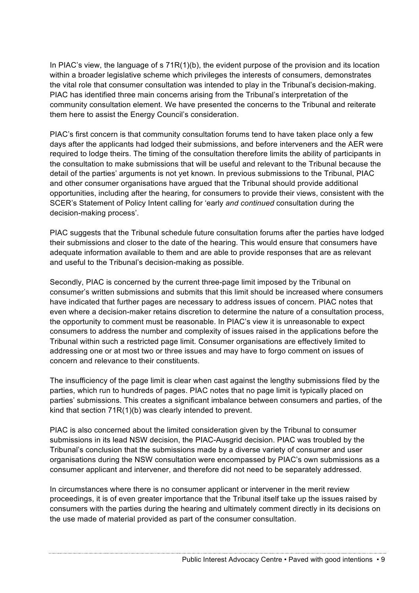In PIAC's view, the language of s 71R(1)(b), the evident purpose of the provision and its location within a broader legislative scheme which privileges the interests of consumers, demonstrates the vital role that consumer consultation was intended to play in the Tribunal's decision-making. PIAC has identified three main concerns arising from the Tribunal's interpretation of the community consultation element. We have presented the concerns to the Tribunal and reiterate them here to assist the Energy Council's consideration.

PIAC's first concern is that community consultation forums tend to have taken place only a few days after the applicants had lodged their submissions, and before interveners and the AER were required to lodge theirs. The timing of the consultation therefore limits the ability of participants in the consultation to make submissions that will be useful and relevant to the Tribunal because the detail of the parties' arguments is not yet known. In previous submissions to the Tribunal, PIAC and other consumer organisations have argued that the Tribunal should provide additional opportunities, including after the hearing, for consumers to provide their views, consistent with the SCER's Statement of Policy Intent calling for 'early *and continued* consultation during the decision-making process'.

PIAC suggests that the Tribunal schedule future consultation forums after the parties have lodged their submissions and closer to the date of the hearing. This would ensure that consumers have adequate information available to them and are able to provide responses that are as relevant and useful to the Tribunal's decision-making as possible.

Secondly, PIAC is concerned by the current three-page limit imposed by the Tribunal on consumer's written submissions and submits that this limit should be increased where consumers have indicated that further pages are necessary to address issues of concern. PIAC notes that even where a decision-maker retains discretion to determine the nature of a consultation process, the opportunity to comment must be reasonable. In PIAC's view it is unreasonable to expect consumers to address the number and complexity of issues raised in the applications before the Tribunal within such a restricted page limit. Consumer organisations are effectively limited to addressing one or at most two or three issues and may have to forgo comment on issues of concern and relevance to their constituents.

The insufficiency of the page limit is clear when cast against the lengthy submissions filed by the parties, which run to hundreds of pages. PIAC notes that no page limit is typically placed on parties' submissions. This creates a significant imbalance between consumers and parties, of the kind that section 71R(1)(b) was clearly intended to prevent.

PIAC is also concerned about the limited consideration given by the Tribunal to consumer submissions in its lead NSW decision, the PIAC-Ausgrid decision. PIAC was troubled by the Tribunal's conclusion that the submissions made by a diverse variety of consumer and user organisations during the NSW consultation were encompassed by PIAC's own submissions as a consumer applicant and intervener, and therefore did not need to be separately addressed.

In circumstances where there is no consumer applicant or intervener in the merit review proceedings, it is of even greater importance that the Tribunal itself take up the issues raised by consumers with the parties during the hearing and ultimately comment directly in its decisions on the use made of material provided as part of the consumer consultation.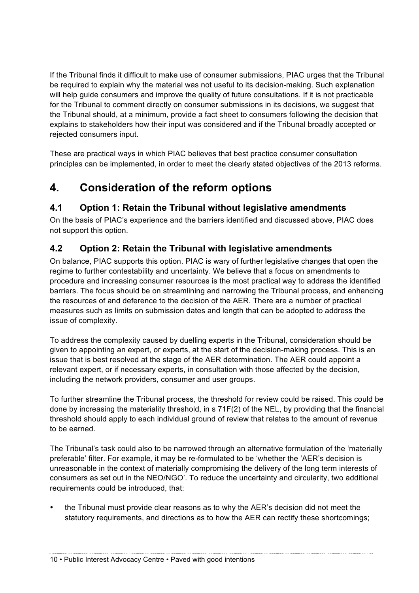If the Tribunal finds it difficult to make use of consumer submissions, PIAC urges that the Tribunal be required to explain why the material was not useful to its decision-making. Such explanation will help guide consumers and improve the quality of future consultations. If it is not practicable for the Tribunal to comment directly on consumer submissions in its decisions, we suggest that the Tribunal should, at a minimum, provide a fact sheet to consumers following the decision that explains to stakeholders how their input was considered and if the Tribunal broadly accepted or rejected consumers input.

These are practical ways in which PIAC believes that best practice consumer consultation principles can be implemented, in order to meet the clearly stated objectives of the 2013 reforms.

# **4. Consideration of the reform options**

# **4.1 Option 1: Retain the Tribunal without legislative amendments**

On the basis of PIAC's experience and the barriers identified and discussed above, PIAC does not support this option.

# **4.2 Option 2: Retain the Tribunal with legislative amendments**

On balance, PIAC supports this option. PIAC is wary of further legislative changes that open the regime to further contestability and uncertainty. We believe that a focus on amendments to procedure and increasing consumer resources is the most practical way to address the identified barriers. The focus should be on streamlining and narrowing the Tribunal process, and enhancing the resources of and deference to the decision of the AER. There are a number of practical measures such as limits on submission dates and length that can be adopted to address the issue of complexity.

To address the complexity caused by duelling experts in the Tribunal, consideration should be given to appointing an expert, or experts, at the start of the decision-making process. This is an issue that is best resolved at the stage of the AER determination. The AER could appoint a relevant expert, or if necessary experts, in consultation with those affected by the decision, including the network providers, consumer and user groups.

To further streamline the Tribunal process, the threshold for review could be raised. This could be done by increasing the materiality threshold, in s 71F(2) of the NEL, by providing that the financial threshold should apply to each individual ground of review that relates to the amount of revenue to be earned.

The Tribunal's task could also to be narrowed through an alternative formulation of the 'materially preferable' filter. For example, it may be re-formulated to be 'whether the 'AER's decision is unreasonable in the context of materially compromising the delivery of the long term interests of consumers as set out in the NEO/NGO'. To reduce the uncertainty and circularity, two additional requirements could be introduced, that:

• the Tribunal must provide clear reasons as to why the AER's decision did not meet the statutory requirements, and directions as to how the AER can rectify these shortcomings;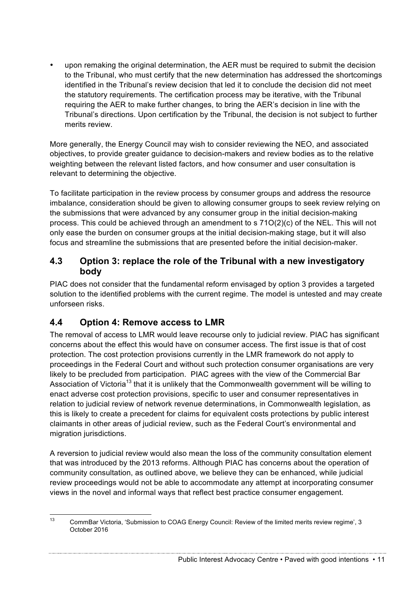• upon remaking the original determination, the AER must be required to submit the decision to the Tribunal, who must certify that the new determination has addressed the shortcomings identified in the Tribunal's review decision that led it to conclude the decision did not meet the statutory requirements. The certification process may be iterative, with the Tribunal requiring the AER to make further changes, to bring the AER's decision in line with the Tribunal's directions. Upon certification by the Tribunal, the decision is not subject to further merits review.

More generally, the Energy Council may wish to consider reviewing the NEO, and associated objectives, to provide greater guidance to decision-makers and review bodies as to the relative weighting between the relevant listed factors, and how consumer and user consultation is relevant to determining the objective.

To facilitate participation in the review process by consumer groups and address the resource imbalance, consideration should be given to allowing consumer groups to seek review relying on the submissions that were advanced by any consumer group in the initial decision-making process. This could be achieved through an amendment to s 71O(2)(c) of the NEL. This will not only ease the burden on consumer groups at the initial decision-making stage, but it will also focus and streamline the submissions that are presented before the initial decision-maker.

### **4.3 Option 3: replace the role of the Tribunal with a new investigatory body**

PIAC does not consider that the fundamental reform envisaged by option 3 provides a targeted solution to the identified problems with the current regime. The model is untested and may create unforseen risks.

# **4.4 Option 4: Remove access to LMR**

The removal of access to LMR would leave recourse only to judicial review. PIAC has significant concerns about the effect this would have on consumer access. The first issue is that of cost protection. The cost protection provisions currently in the LMR framework do not apply to proceedings in the Federal Court and without such protection consumer organisations are very likely to be precluded from participation. PIAC agrees with the view of the Commercial Bar Association of Victoria<sup>13</sup> that it is unlikely that the Commonwealth government will be willing to enact adverse cost protection provisions, specific to user and consumer representatives in relation to judicial review of network revenue determinations, in Commonwealth legislation, as this is likely to create a precedent for claims for equivalent costs protections by public interest claimants in other areas of judicial review, such as the Federal Court's environmental and migration jurisdictions.

A reversion to judicial review would also mean the loss of the community consultation element that was introduced by the 2013 reforms. Although PIAC has concerns about the operation of community consultation, as outlined above, we believe they can be enhanced, while judicial review proceedings would not be able to accommodate any attempt at incorporating consumer views in the novel and informal ways that reflect best practice consumer engagement.

<sup>&</sup>lt;sup>13</sup> CommBar Victoria, 'Submission to COAG Energy Council: Review of the limited merits review regime', 3 October 2016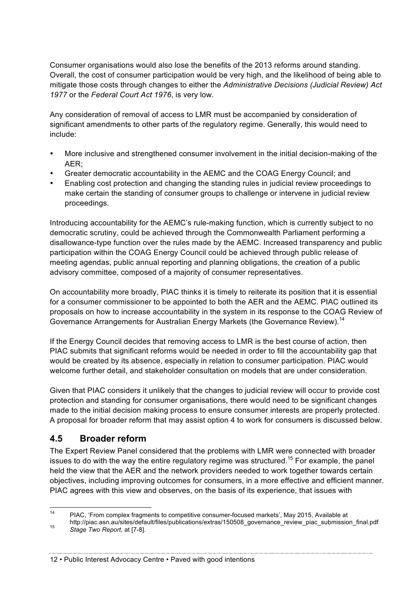Consumer organisations would also lose the benefits of the 2013 reforms around standing. Overall, the cost of consumer participation would be very high, and the likelihood of being able to mitigate those costs through changes to either the *Administrative Decisions (Judicial Review) Act 1977* or the *Federal Court Act 1976*, is very low.

Any consideration of removal of access to LMR must be accompanied by consideration of significant amendments to other parts of the regulatory regime. Generally, this would need to include:

- More inclusive and strengthened consumer involvement in the initial decision-making of the AER;
- Greater democratic accountability in the AEMC and the COAG Energy Council; and
- Enabling cost protection and changing the standing rules in judicial review proceedings to make certain the standing of consumer groups to challenge or intervene in judicial review proceedings.

Introducing accountability for the AEMC's rule-making function, which is currently subject to no democratic scrutiny, could be achieved through the Commonwealth Parliament performing a disallowance-type function over the rules made by the AEMC. Increased transparency and public participation within the COAG Energy Council could be achieved through public release of meeting agendas, public annual reporting and planning obligations, the creation of a public advisory committee, composed of a majority of consumer representatives.

On accountability more broadly, PIAC thinks it is timely to reiterate its position that it is essential for a consumer commissioner to be appointed to both the AER and the AEMC. PIAC outlined its proposals on how to increase accountability in the system in its response to the COAG Review of Governance Arrangements for Australian Energy Markets (the Governance Review).<sup>14</sup>

If the Energy Council decides that removing access to LMR is the best course of action, then PIAC submits that significant reforms would be needed in order to fill the accountability gap that would be created by its absence, especially in relation to consumer participation. PIAC would welcome further detail, and stakeholder consultation on models that are under consideration.

Given that PIAC considers it unlikely that the changes to judicial review will occur to provide cost protection and standing for consumer organisations, there would need to be significant changes made to the initial decision making process to ensure consumer interests are properly protected. A proposal for broader reform that may assist option 4 to work for consumers is discussed below.

# **4.5 Broader reform**

The Expert Review Panel considered that the problems with LMR were connected with broader issues to do with the way the entire regulatory regime was structured.<sup>15</sup> For example, the panel held the view that the AER and the network providers needed to work together towards certain objectives, including improving outcomes for consumers, in a more effective and efficient manner. PIAC agrees with this view and observes, on the basis of its experience, that issues with

 <sup>14</sup> PIAC, 'From complex fragments to competitive consumer-focused markets', May 2015, Available at http://piac.asn.au/sites/default/files/publications/extras/150508\_governance\_review\_piac\_submission\_final.pdf <sup>15</sup> *Stage Two Report*, at [7-8].